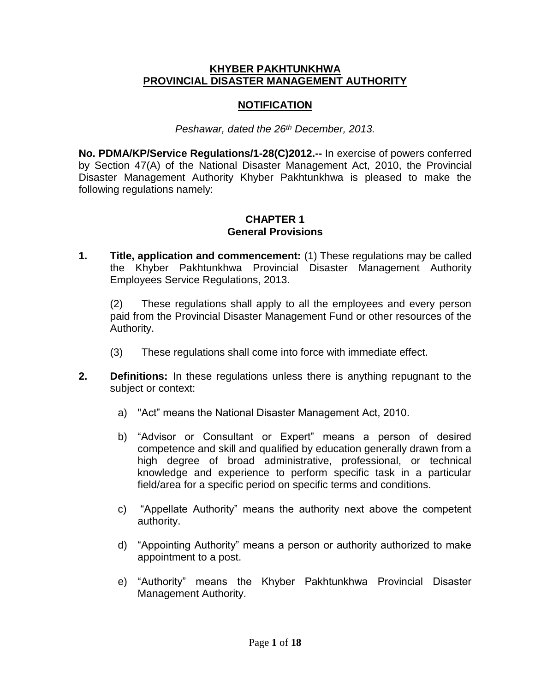#### **KHYBER PAKHTUNKHWA PROVINCIAL DISASTER MANAGEMENT AUTHORITY**

# **NOTIFICATION**

## *Peshawar, dated the 26th December, 2013.*

**No. PDMA/KP/Service Regulations/1-28(C)2012.--** In exercise of powers conferred by Section 47(A) of the National Disaster Management Act, 2010, the Provincial Disaster Management Authority Khyber Pakhtunkhwa is pleased to make the following regulations namely:

#### **CHAPTER 1 General Provisions**

**1. Title, application and commencement:** (1) These regulations may be called the Khyber Pakhtunkhwa Provincial Disaster Management Authority Employees Service Regulations, 2013.

(2) These regulations shall apply to all the employees and every person paid from the Provincial Disaster Management Fund or other resources of the Authority.

- (3) These regulations shall come into force with immediate effect.
- **2. Definitions:** In these regulations unless there is anything repugnant to the subject or context:
	- a) "Act" means the National Disaster Management Act, 2010.
	- b) "Advisor or Consultant or Expert" means a person of desired competence and skill and qualified by education generally drawn from a high degree of broad administrative, professional, or technical knowledge and experience to perform specific task in a particular field/area for a specific period on specific terms and conditions.
	- c) "Appellate Authority" means the authority next above the competent authority.
	- d) "Appointing Authority" means a person or authority authorized to make appointment to a post.
	- e) "Authority" means the Khyber Pakhtunkhwa Provincial Disaster Management Authority.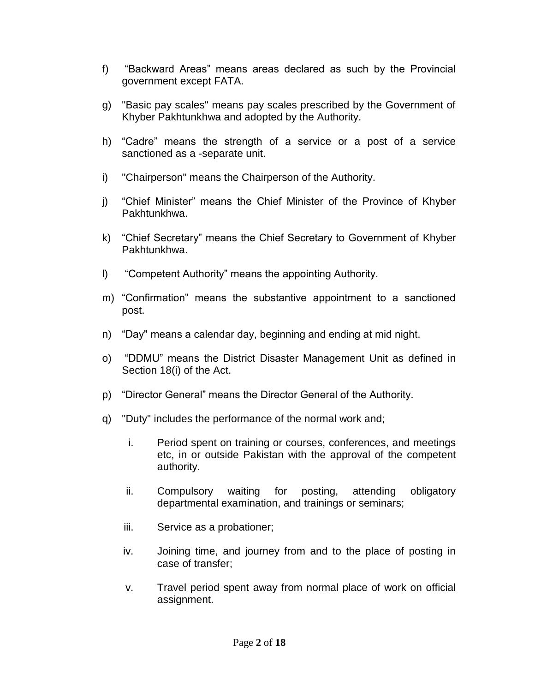- f) "Backward Areas" means areas declared as such by the Provincial government except FATA.
- g) "Basic pay scales" means pay scales prescribed by the Government of Khyber Pakhtunkhwa and adopted by the Authority.
- h) "Cadre" means the strength of a service or a post of a service sanctioned as a -separate unit.
- i) "Chairperson" means the Chairperson of the Authority.
- j) "Chief Minister" means the Chief Minister of the Province of Khyber Pakhtunkhwa.
- k) "Chief Secretary" means the Chief Secretary to Government of Khyber Pakhtunkhwa.
- l) "Competent Authority" means the appointing Authority.
- m) "Confirmation" means the substantive appointment to a sanctioned post.
- n) "Day" means a calendar day, beginning and ending at mid night.
- o) "DDMU" means the District Disaster Management Unit as defined in Section 18(i) of the Act.
- p) "Director General" means the Director General of the Authority.
- q) "Duty" includes the performance of the normal work and;
	- i. Period spent on training or courses, conferences, and meetings etc, in or outside Pakistan with the approval of the competent authority.
	- ii. Compulsory waiting for posting, attending obligatory departmental examination, and trainings or seminars;
	- iii. Service as a probationer;
	- iv. Joining time, and journey from and to the place of posting in case of transfer;
	- v. Travel period spent away from normal place of work on official assignment.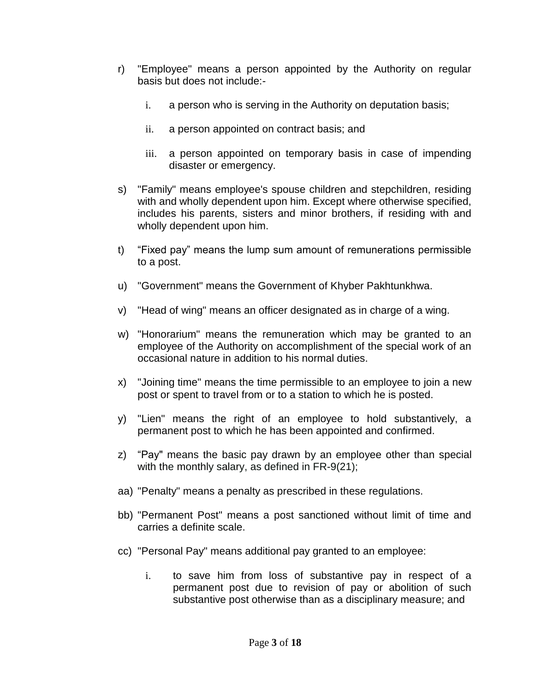- r) "Employee" means a person appointed by the Authority on regular basis but does not include:
	- i. a person who is serving in the Authority on deputation basis;
	- ii. a person appointed on contract basis; and
	- iii. a person appointed on temporary basis in case of impending disaster or emergency.
- s) "Family" means employee's spouse children and stepchildren, residing with and wholly dependent upon him. Except where otherwise specified, includes his parents, sisters and minor brothers, if residing with and wholly dependent upon him.
- t) "Fixed pay" means the lump sum amount of remunerations permissible to a post.
- u) "Government" means the Government of Khyber Pakhtunkhwa.
- v) "Head of wing" means an officer designated as in charge of a wing.
- w) "Honorarium" means the remuneration which may be granted to an employee of the Authority on accomplishment of the special work of an occasional nature in addition to his normal duties.
- x) "Joining time" means the time permissible to an employee to join a new post or spent to travel from or to a station to which he is posted.
- y) "Lien" means the right of an employee to hold substantively, a permanent post to which he has been appointed and confirmed.
- z) "Pay" means the basic pay drawn by an employee other than special with the monthly salary, as defined in FR-9(21);
- aa) "Penalty" means a penalty as prescribed in these regulations.
- bb) "Permanent Post" means a post sanctioned without limit of time and carries a definite scale.
- cc) "Personal Pay" means additional pay granted to an employee:
	- i. to save him from loss of substantive pay in respect of a permanent post due to revision of pay or abolition of such substantive post otherwise than as a disciplinary measure; and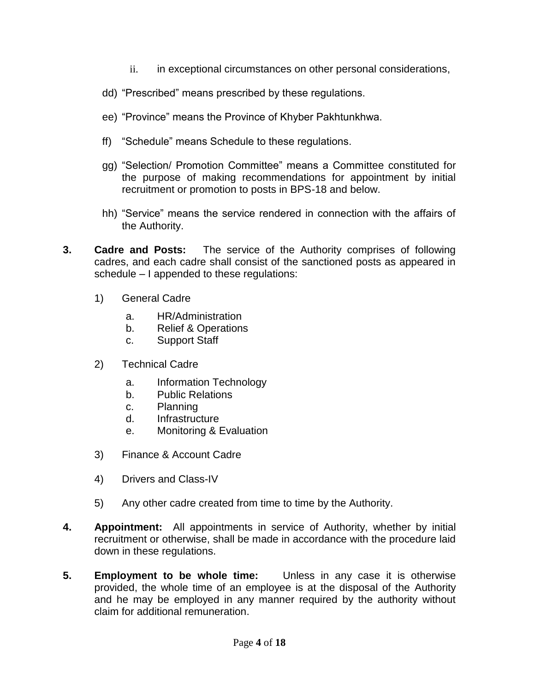- ii. in exceptional circumstances on other personal considerations,
- dd) "Prescribed" means prescribed by these regulations.
- ee) "Province" means the Province of Khyber Pakhtunkhwa.
- ff) "Schedule" means Schedule to these regulations.
- gg) "Selection/ Promotion Committee" means a Committee constituted for the purpose of making recommendations for appointment by initial recruitment or promotion to posts in BPS-18 and below.
- hh) "Service" means the service rendered in connection with the affairs of the Authority.
- **3. Cadre and Posts:** The service of the Authority comprises of following cadres, and each cadre shall consist of the sanctioned posts as appeared in schedule – I appended to these regulations:
	- 1) General Cadre
		- a. HR/Administration
		- b. Relief & Operations
		- c. Support Staff
	- 2) Technical Cadre
		- a. Information Technology
		- b. Public Relations
		- c. Planning
		- d. Infrastructure
		- e. Monitoring & Evaluation
	- 3) Finance & Account Cadre
	- 4) Drivers and Class-IV
	- 5) Any other cadre created from time to time by the Authority.
- **4. Appointment:** All appointments in service of Authority, whether by initial recruitment or otherwise, shall be made in accordance with the procedure laid down in these regulations.
- **5. Employment to be whole time:** Unless in any case it is otherwise provided, the whole time of an employee is at the disposal of the Authority and he may be employed in any manner required by the authority without claim for additional remuneration.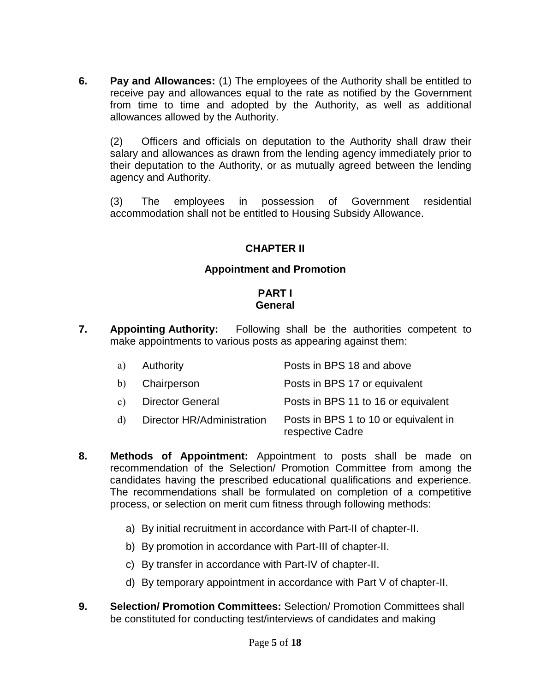**6. Pay and Allowances:** (1) The employees of the Authority shall be entitled to receive pay and allowances equal to the rate as notified by the Government from time to time and adopted by the Authority, as well as additional allowances allowed by the Authority.

(2) Officers and officials on deputation to the Authority shall draw their salary and allowances as drawn from the lending agency immediately prior to their deputation to the Authority, or as mutually agreed between the lending agency and Authority.

(3) The employees in possession of Government residential accommodation shall not be entitled to Housing Subsidy Allowance.

# **CHAPTER II**

## **Appointment and Promotion**

#### **PART I General**

**7. Appointing Authority:** Following shall be the authorities competent to make appointments to various posts as appearing against them:

| a) | Authority                  | Posts in BPS 18 and above                                 |
|----|----------------------------|-----------------------------------------------------------|
|    | b) Chairperson             | Posts in BPS 17 or equivalent                             |
|    | c) Director General        | Posts in BPS 11 to 16 or equivalent                       |
| d) | Director HR/Administration | Posts in BPS 1 to 10 or equivalent in<br>respective Cadre |

- **8. Methods of Appointment:** Appointment to posts shall be made on recommendation of the Selection/ Promotion Committee from among the candidates having the prescribed educational qualifications and experience. The recommendations shall be formulated on completion of a competitive process, or selection on merit cum fitness through following methods:
	- a) By initial recruitment in accordance with Part-II of chapter-II.
	- b) By promotion in accordance with Part-III of chapter-II.
	- c) By transfer in accordance with Part-IV of chapter-II.
	- d) By temporary appointment in accordance with Part V of chapter-II.
- **9. Selection/ Promotion Committees:** Selection/ Promotion Committees shall be constituted for conducting test/interviews of candidates and making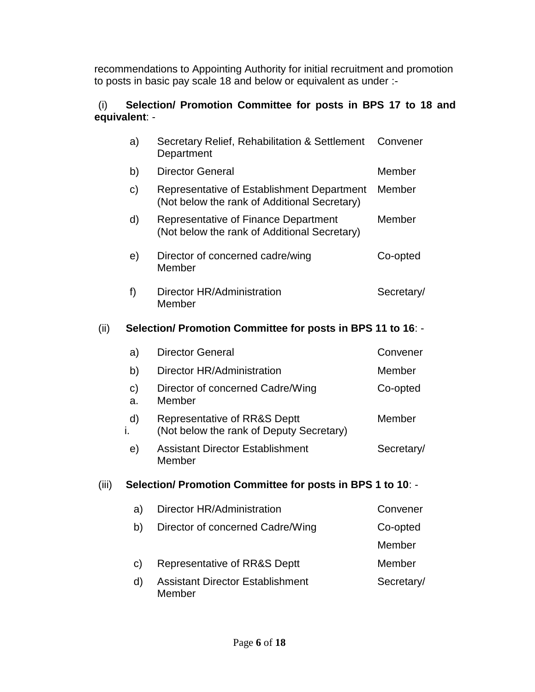recommendations to Appointing Authority for initial recruitment and promotion to posts in basic pay scale 18 and below or equivalent as under :-

# (i) **Selection/ Promotion Committee for posts in BPS 17 to 18 and equivalent**: -

|                                                                     | Secretary Relief, Rehabilitation & Settlement<br>a)<br>Department |                                                                                            | Convener   |  |  |  |
|---------------------------------------------------------------------|-------------------------------------------------------------------|--------------------------------------------------------------------------------------------|------------|--|--|--|
|                                                                     | b)                                                                | <b>Director General</b>                                                                    | Member     |  |  |  |
|                                                                     | c)                                                                | Representative of Establishment Department<br>(Not below the rank of Additional Secretary) | Member     |  |  |  |
|                                                                     | d)                                                                | Representative of Finance Department<br>(Not below the rank of Additional Secretary)       | Member     |  |  |  |
|                                                                     | e)                                                                | Director of concerned cadre/wing<br>Member                                                 | Co-opted   |  |  |  |
|                                                                     | f)                                                                | Director HR/Administration<br>Member                                                       | Secretary/ |  |  |  |
| Selection/ Promotion Committee for posts in BPS 11 to 16: -<br>(ii) |                                                                   |                                                                                            |            |  |  |  |
|                                                                     | a)                                                                | <b>Director General</b>                                                                    | Convener   |  |  |  |
|                                                                     | b)                                                                | Director HR/Administration                                                                 | Member     |  |  |  |
|                                                                     | $\mathbf{C}$<br>a.                                                | Director of concerned Cadre/Wing<br>Member                                                 | Co-opted   |  |  |  |
|                                                                     | d)<br>i.                                                          | <b>Representative of RR&amp;S Deptt</b><br>(Not below the rank of Deputy Secretary)        | Member     |  |  |  |
|                                                                     | e)                                                                | <b>Assistant Director Establishment</b><br>Member                                          | Secretary/ |  |  |  |
| (iii)                                                               | Selection/ Promotion Committee for posts in BPS 1 to 10: -        |                                                                                            |            |  |  |  |
|                                                                     | a)                                                                | Director HR/Administration                                                                 | Convener   |  |  |  |
|                                                                     | b)                                                                | Director of concerned Cadre/Wing                                                           | Co-opted   |  |  |  |
|                                                                     |                                                                   |                                                                                            | Member     |  |  |  |
|                                                                     | c)                                                                | <b>Representative of RR&amp;S Deptt</b>                                                    | Member     |  |  |  |
|                                                                     | d)                                                                | <b>Assistant Director Establishment</b><br>Member                                          | Secretary/ |  |  |  |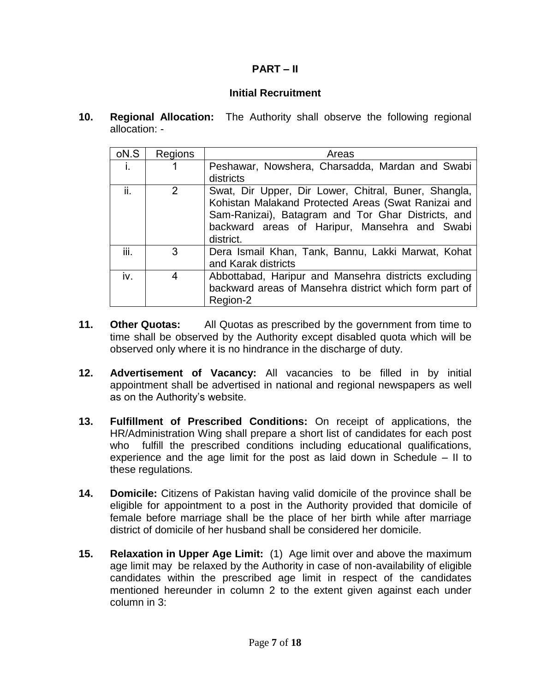#### **PART – II**

## **Initial Recruitment**

**10. Regional Allocation:** The Authority shall observe the following regional allocation: -

| oN.S | Regions | Areas                                                                                                                                                                                                                           |
|------|---------|---------------------------------------------------------------------------------------------------------------------------------------------------------------------------------------------------------------------------------|
| i.   |         | Peshawar, Nowshera, Charsadda, Mardan and Swabi                                                                                                                                                                                 |
|      |         | districts                                                                                                                                                                                                                       |
| ii.  | 2       | Swat, Dir Upper, Dir Lower, Chitral, Buner, Shangla,<br>Kohistan Malakand Protected Areas (Swat Ranizai and<br>Sam-Ranizai), Batagram and Tor Ghar Districts, and<br>backward areas of Haripur, Mansehra and Swabi<br>district. |
| iii. | 3       | Dera Ismail Khan, Tank, Bannu, Lakki Marwat, Kohat<br>and Karak districts                                                                                                                                                       |
| iv.  | 4       | Abbottabad, Haripur and Mansehra districts excluding<br>backward areas of Mansehra district which form part of<br>Region-2                                                                                                      |

- **11. Other Quotas:** All Quotas as prescribed by the government from time to time shall be observed by the Authority except disabled quota which will be observed only where it is no hindrance in the discharge of duty.
- **12. Advertisement of Vacancy:** All vacancies to be filled in by initial appointment shall be advertised in national and regional newspapers as well as on the Authority's website.
- **13. Fulfillment of Prescribed Conditions:** On receipt of applications, the HR/Administration Wing shall prepare a short list of candidates for each post who fulfill the prescribed conditions including educational qualifications, experience and the age limit for the post as laid down in Schedule – II to these regulations.
- **14. Domicile:** Citizens of Pakistan having valid domicile of the province shall be eligible for appointment to a post in the Authority provided that domicile of female before marriage shall be the place of her birth while after marriage district of domicile of her husband shall be considered her domicile.
- **15. Relaxation in Upper Age Limit:** (1) Age limit over and above the maximum age limit may be relaxed by the Authority in case of non-availability of eligible candidates within the prescribed age limit in respect of the candidates mentioned hereunder in column 2 to the extent given against each under column in 3: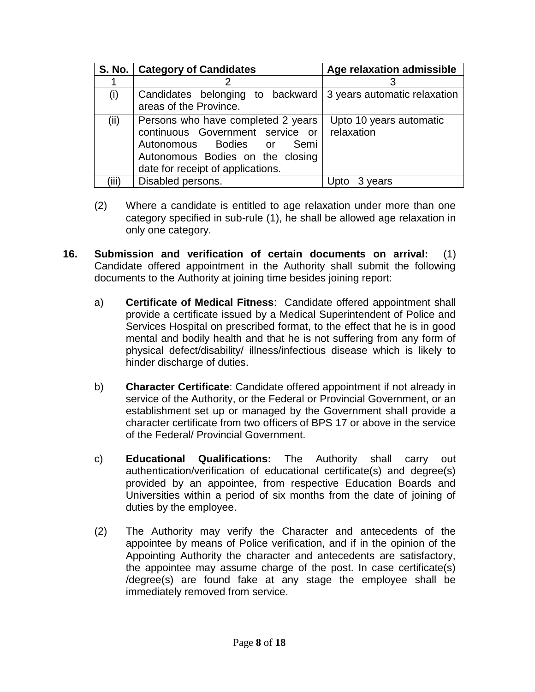|       | S. No.   Category of Candidates                                                                                                                                                 | Age relaxation admissible             |
|-------|---------------------------------------------------------------------------------------------------------------------------------------------------------------------------------|---------------------------------------|
|       |                                                                                                                                                                                 |                                       |
| (i)   | Candidates belonging to backward<br>areas of the Province.                                                                                                                      | 3 years automatic relaxation          |
| (ii)  | Persons who have completed 2 years<br>continuous Government service or<br>Autonomous Bodies or<br>Semi<br>Autonomous Bodies on the closing<br>date for receipt of applications. | Upto 10 years automatic<br>relaxation |
| (iii) | Disabled persons.                                                                                                                                                               | vears                                 |

- (2) Where a candidate is entitled to age relaxation under more than one category specified in sub-rule (1), he shall be allowed age relaxation in only one category.
- **16. Submission and verification of certain documents on arrival:** (1) Candidate offered appointment in the Authority shall submit the following documents to the Authority at joining time besides joining report:
	- a) **Certificate of Medical Fitness**: Candidate offered appointment shall provide a certificate issued by a Medical Superintendent of Police and Services Hospital on prescribed format, to the effect that he is in good mental and bodily health and that he is not suffering from any form of physical defect/disability/ illness/infectious disease which is likely to hinder discharge of duties.
	- b) **Character Certificate**: Candidate offered appointment if not already in service of the Authority, or the Federal or Provincial Government, or an establishment set up or managed by the Government shall provide a character certificate from two officers of BPS 17 or above in the service of the Federal/ Provincial Government.
	- c) **Educational Qualifications:** The Authority shall carry out authentication/verification of educational certificate(s) and degree(s) provided by an appointee, from respective Education Boards and Universities within a period of six months from the date of joining of duties by the employee.
	- (2) The Authority may verify the Character and antecedents of the appointee by means of Police verification, and if in the opinion of the Appointing Authority the character and antecedents are satisfactory, the appointee may assume charge of the post. In case certificate(s) /degree(s) are found fake at any stage the employee shall be immediately removed from service.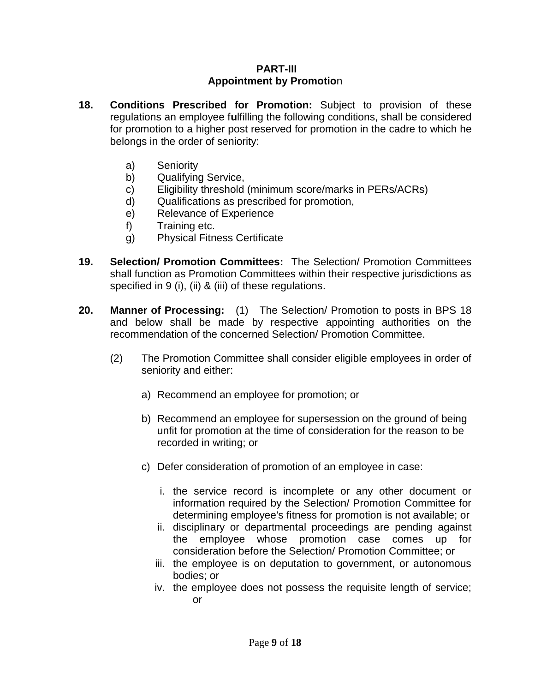#### **PART-III Appointment by Promotio**n

- **18. Conditions Prescribed for Promotion:** Subject to provision of these regulations an employee f**u**lfilling the following conditions, shall be considered for promotion to a higher post reserved for promotion in the cadre to which he belongs in the order of seniority:
	- a) Seniority
	- b) Qualifying Service,
	- c) Eligibility threshold (minimum score/marks in PERs/ACRs)
	- d) Qualifications as prescribed for promotion,
	- e) Relevance of Experience
	- f) Training etc.
	- g) Physical Fitness Certificate
- **19. Selection/ Promotion Committees:** The Selection/ Promotion Committees shall function as Promotion Committees within their respective jurisdictions as specified in 9 (i), (ii) & (iii) of these regulations.
- **20. Manner of Processing:** (1) The Selection/ Promotion to posts in BPS 18 and below shall be made by respective appointing authorities on the recommendation of the concerned Selection/ Promotion Committee.
	- (2) The Promotion Committee shall consider eligible employees in order of seniority and either:
		- a) Recommend an employee for promotion; or
		- b) Recommend an employee for supersession on the ground of being unfit for promotion at the time of consideration for the reason to be recorded in writing; or
		- c) Defer consideration of promotion of an employee in case:
			- i. the service record is incomplete or any other document or information required by the Selection/ Promotion Committee for determining employee's fitness for promotion is not available; or
			- ii. disciplinary or departmental proceedings are pending against the employee whose promotion case comes up for consideration before the Selection/ Promotion Committee; or
			- iii. the employee is on deputation to government, or autonomous bodies; or
			- iv. the employee does not possess the requisite length of service; or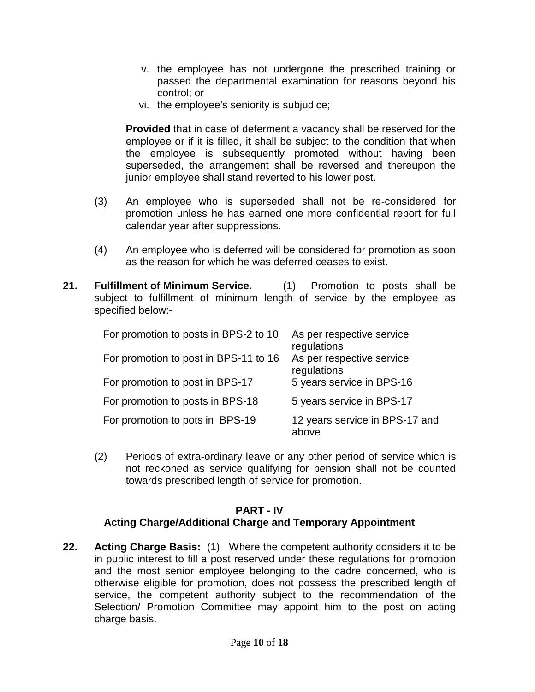- v. the employee has not undergone the prescribed training or passed the departmental examination for reasons beyond his control; or
- vi. the employee's seniority is subjudice;

**Provided** that in case of deferment a vacancy shall be reserved for the employee or if it is filled, it shall be subject to the condition that when the employee is subsequently promoted without having been superseded, the arrangement shall be reversed and thereupon the junior employee shall stand reverted to his lower post.

- (3) An employee who is superseded shall not be re-considered for promotion unless he has earned one more confidential report for full calendar year after suppressions.
- (4) An employee who is deferred will be considered for promotion as soon as the reason for which he was deferred ceases to exist.
- **21. Fulfillment of Minimum Service.** (1) Promotion to posts shall be subject to fulfillment of minimum length of service by the employee as specified below:-

| For promotion to posts in BPS-2 to 10 | As per respective service<br>regulations |
|---------------------------------------|------------------------------------------|
| For promotion to post in BPS-11 to 16 | As per respective service<br>regulations |
| For promotion to post in BPS-17       | 5 years service in BPS-16                |
| For promotion to posts in BPS-18      | 5 years service in BPS-17                |
| For promotion to pots in BPS-19       | 12 years service in BPS-17 and<br>above  |

(2) Periods of extra-ordinary leave or any other period of service which is not reckoned as service qualifying for pension shall not be counted towards prescribed length of service for promotion.

# **PART - IV**

# **Acting Charge/Additional Charge and Temporary Appointment**

**22. Acting Charge Basis:** (1) Where the competent authority considers it to be in public interest to fill a post reserved under these regulations for promotion and the most senior employee belonging to the cadre concerned, who is otherwise eligible for promotion, does not possess the prescribed length of service, the competent authority subject to the recommendation of the Selection/ Promotion Committee may appoint him to the post on acting charge basis.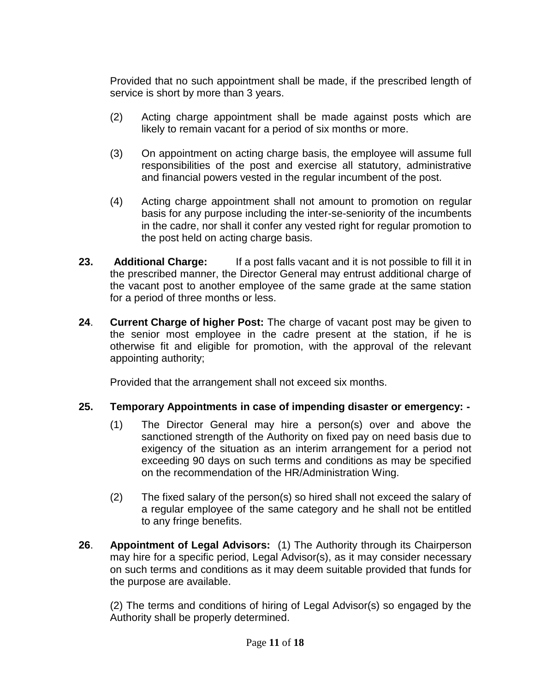Provided that no such appointment shall be made, if the prescribed length of service is short by more than 3 years.

- (2) Acting charge appointment shall be made against posts which are likely to remain vacant for a period of six months or more.
- (3) On appointment on acting charge basis, the employee will assume full responsibilities of the post and exercise all statutory, administrative and financial powers vested in the regular incumbent of the post.
- (4) Acting charge appointment shall not amount to promotion on regular basis for any purpose including the inter-se-seniority of the incumbents in the cadre, nor shall it confer any vested right for regular promotion to the post held on acting charge basis.
- **23. Additional Charge:** If a post falls vacant and it is not possible to fill it in the prescribed manner, the Director General may entrust additional charge of the vacant post to another employee of the same grade at the same station for a period of three months or less.
- **24**. **Current Charge of higher Post:** The charge of vacant post may be given to the senior most employee in the cadre present at the station, if he is otherwise fit and eligible for promotion, with the approval of the relevant appointing authority;

Provided that the arrangement shall not exceed six months.

# **25. Temporary Appointments in case of impending disaster or emergency: -**

- (1) The Director General may hire a person(s) over and above the sanctioned strength of the Authority on fixed pay on need basis due to exigency of the situation as an interim arrangement for a period not exceeding 90 days on such terms and conditions as may be specified on the recommendation of the HR/Administration Wing.
- (2) The fixed salary of the person(s) so hired shall not exceed the salary of a regular employee of the same category and he shall not be entitled to any fringe benefits.
- **26**. **Appointment of Legal Advisors:** (1) The Authority through its Chairperson may hire for a specific period, Legal Advisor(s), as it may consider necessary on such terms and conditions as it may deem suitable provided that funds for the purpose are available.

(2) The terms and conditions of hiring of Legal Advisor(s) so engaged by the Authority shall be properly determined.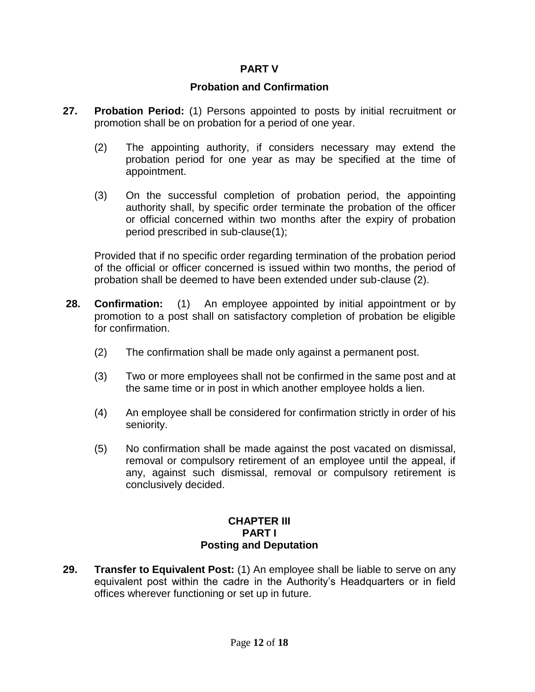## **PART V**

# **Probation and Confirmation**

- **27. Probation Period:** (1) Persons appointed to posts by initial recruitment or promotion shall be on probation for a period of one year.
	- (2) The appointing authority, if considers necessary may extend the probation period for one year as may be specified at the time of appointment.
	- (3) On the successful completion of probation period, the appointing authority shall, by specific order terminate the probation of the officer or official concerned within two months after the expiry of probation period prescribed in sub-clause(1);

Provided that if no specific order regarding termination of the probation period of the official or officer concerned is issued within two months, the period of probation shall be deemed to have been extended under sub-clause (2).

- **28. Confirmation:** (1) An employee appointed by initial appointment or by promotion to a post shall on satisfactory completion of probation be eligible for confirmation.
	- (2) The confirmation shall be made only against a permanent post.
	- (3) Two or more employees shall not be confirmed in the same post and at the same time or in post in which another employee holds a lien.
	- (4) An employee shall be considered for confirmation strictly in order of his seniority.
	- (5) No confirmation shall be made against the post vacated on dismissal, removal or compulsory retirement of an employee until the appeal, if any, against such dismissal, removal or compulsory retirement is conclusively decided.

## **CHAPTER III PART I Posting and Deputation**

**29. Transfer to Equivalent Post:** (1) An employee shall be liable to serve on any equivalent post within the cadre in the Authority's Headquarters or in field offices wherever functioning or set up in future.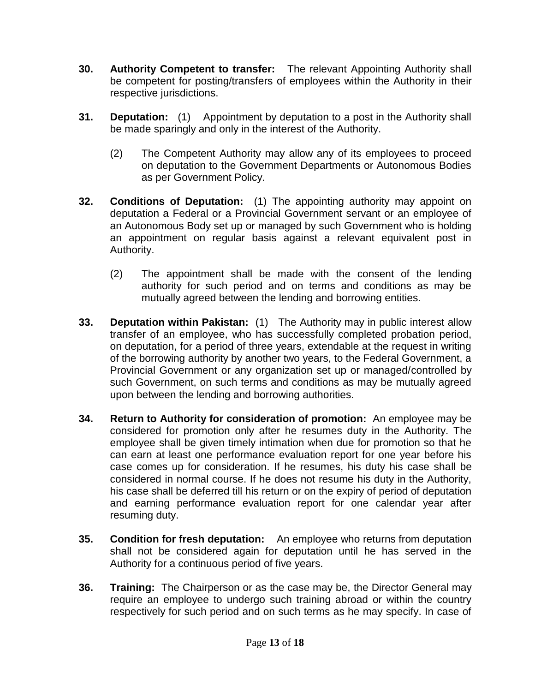- **30. Authority Competent to transfer:** The relevant Appointing Authority shall be competent for posting/transfers of employees within the Authority in their respective jurisdictions.
- **31. Deputation:** (1) Appointment by deputation to a post in the Authority shall be made sparingly and only in the interest of the Authority.
	- (2) The Competent Authority may allow any of its employees to proceed on deputation to the Government Departments or Autonomous Bodies as per Government Policy.
- **32. Conditions of Deputation:** (1) The appointing authority may appoint on deputation a Federal or a Provincial Government servant or an employee of an Autonomous Body set up or managed by such Government who is holding an appointment on regular basis against a relevant equivalent post in Authority.
	- (2) The appointment shall be made with the consent of the lending authority for such period and on terms and conditions as may be mutually agreed between the lending and borrowing entities.
- **33. Deputation within Pakistan:** (1) The Authority may in public interest allow transfer of an employee, who has successfully completed probation period, on deputation, for a period of three years, extendable at the request in writing of the borrowing authority by another two years, to the Federal Government, a Provincial Government or any organization set up or managed/controlled by such Government, on such terms and conditions as may be mutually agreed upon between the lending and borrowing authorities.
- **34. Return to Authority for consideration of promotion:** An employee may be considered for promotion only after he resumes duty in the Authority. The employee shall be given timely intimation when due for promotion so that he can earn at least one performance evaluation report for one year before his case comes up for consideration. If he resumes, his duty his case shall be considered in normal course. If he does not resume his duty in the Authority, his case shall be deferred till his return or on the expiry of period of deputation and earning performance evaluation report for one calendar year after resuming duty.
- **35. Condition for fresh deputation:** An employee who returns from deputation shall not be considered again for deputation until he has served in the Authority for a continuous period of five years.
- **36. Training:** The Chairperson or as the case may be, the Director General may require an employee to undergo such training abroad or within the country respectively for such period and on such terms as he may specify. In case of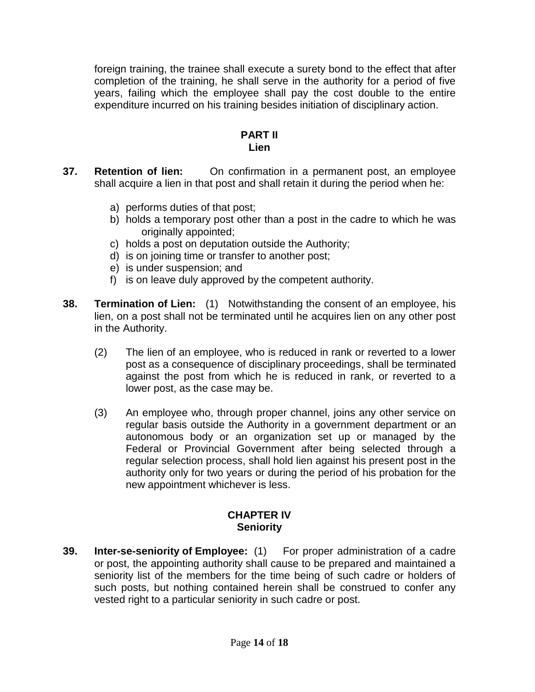foreign training, the trainee shall execute a surety bond to the effect that after completion of the training, he shall serve in the authority for a period of five years, failing which the employee shall pay the cost double to the entire expenditure incurred on his training besides initiation of disciplinary action.

#### **PART II Lien**

- **37. Retention of lien:** On confirmation in a permanent post, an employee shall acquire a lien in that post and shall retain it during the period when he:
	- a) performs duties of that post;
	- b) holds a temporary post other than a post in the cadre to which he was originally appointed;
	- c) holds a post on deputation outside the Authority;
	- d) is on joining time or transfer to another post;
	- e) is under suspension; and
	- f) is on leave duly approved by the competent authority.
- **38. Termination of Lien:** (1) Notwithstanding the consent of an employee, his lien, on a post shall not be terminated until he acquires lien on any other post in the Authority.
	- (2) The lien of an employee, who is reduced in rank or reverted to a lower post as a consequence of disciplinary proceedings, shall be terminated against the post from which he is reduced in rank, or reverted to a lower post, as the case may be.
	- (3) An employee who, through proper channel, joins any other service on regular basis outside the Authority in a government department or an autonomous body or an organization set up or managed by the Federal or Provincial Government after being selected through a regular selection process, shall hold lien against his present post in the authority only for two years or during the period of his probation for the new appointment whichever is less.

## **CHAPTER IV Seniority**

**39. Inter-se-seniority of Employee:** (1) For proper administration of a cadre or post, the appointing authority shall cause to be prepared and maintained a seniority list of the members for the time being of such cadre or holders of such posts, but nothing contained herein shall be construed to confer any vested right to a particular seniority in such cadre or post.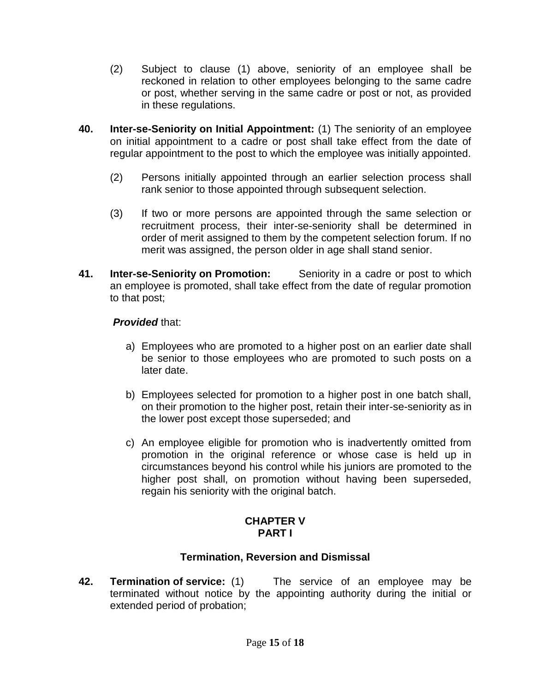- (2) Subject to clause (1) above, seniority of an employee shall be reckoned in relation to other employees belonging to the same cadre or post, whether serving in the same cadre or post or not, as provided in these regulations.
- **40. Inter-se-Seniority on Initial Appointment:** (1) The seniority of an employee on initial appointment to a cadre or post shall take effect from the date of regular appointment to the post to which the employee was initially appointed.
	- (2) Persons initially appointed through an earlier selection process shall rank senior to those appointed through subsequent selection.
	- (3) If two or more persons are appointed through the same selection or recruitment process, their inter-se-seniority shall be determined in order of merit assigned to them by the competent selection forum. If no merit was assigned, the person older in age shall stand senior.
- **41. Inter-se-Seniority on Promotion:** Seniority in a cadre or post to which an employee is promoted, shall take effect from the date of regular promotion to that post;

# *Provided* that:

- a) Employees who are promoted to a higher post on an earlier date shall be senior to those employees who are promoted to such posts on a later date.
- b) Employees selected for promotion to a higher post in one batch shall, on their promotion to the higher post, retain their inter-se-seniority as in the lower post except those superseded; and
- c) An employee eligible for promotion who is inadvertently omitted from promotion in the original reference or whose case is held up in circumstances beyond his control while his juniors are promoted to the higher post shall, on promotion without having been superseded, regain his seniority with the original batch.

# **CHAPTER V PART I**

# **Termination, Reversion and Dismissal**

**42. Termination of service:** (1) The service of an employee may be terminated without notice by the appointing authority during the initial or extended period of probation;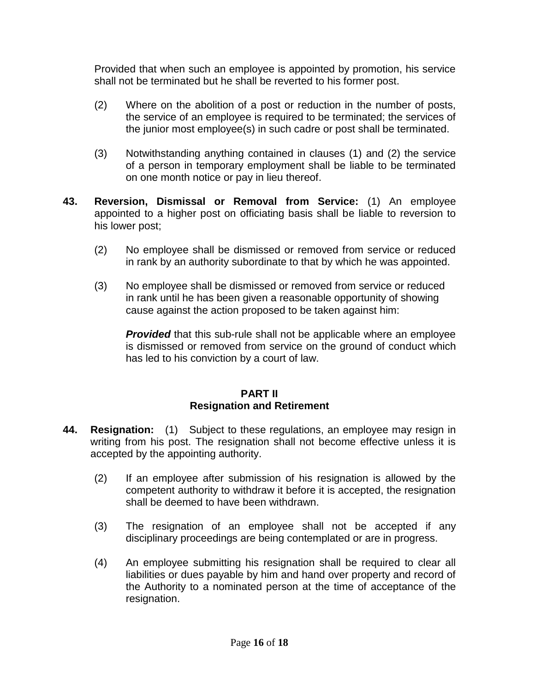Provided that when such an employee is appointed by promotion, his service shall not be terminated but he shall be reverted to his former post.

- (2) Where on the abolition of a post or reduction in the number of posts, the service of an employee is required to be terminated; the services of the junior most employee(s) in such cadre or post shall be terminated.
- (3) Notwithstanding anything contained in clauses (1) and (2) the service of a person in temporary employment shall be liable to be terminated on one month notice or pay in lieu thereof.
- **43. Reversion, Dismissal or Removal from Service:** (1) An employee appointed to a higher post on officiating basis shall be liable to reversion to his lower post;
	- (2) No employee shall be dismissed or removed from service or reduced in rank by an authority subordinate to that by which he was appointed.
	- (3) No employee shall be dismissed or removed from service or reduced in rank until he has been given a reasonable opportunity of showing cause against the action proposed to be taken against him:

*Provided* that this sub-rule shall not be applicable where an employee is dismissed or removed from service on the ground of conduct which has led to his conviction by a court of law.

## **PART II Resignation and Retirement**

- **44. Resignation:** (1) Subject to these regulations, an employee may resign in writing from his post. The resignation shall not become effective unless it is accepted by the appointing authority.
	- (2) If an employee after submission of his resignation is allowed by the competent authority to withdraw it before it is accepted, the resignation shall be deemed to have been withdrawn.
	- (3) The resignation of an employee shall not be accepted if any disciplinary proceedings are being contemplated or are in progress.
	- (4) An employee submitting his resignation shall be required to clear all liabilities or dues payable by him and hand over property and record of the Authority to a nominated person at the time of acceptance of the resignation.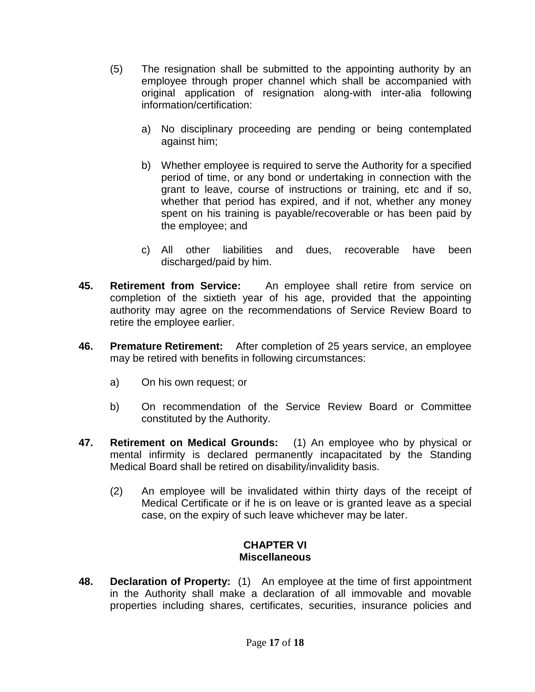- (5) The resignation shall be submitted to the appointing authority by an employee through proper channel which shall be accompanied with original application of resignation along-with inter-alia following information/certification:
	- a) No disciplinary proceeding are pending or being contemplated against him;
	- b) Whether employee is required to serve the Authority for a specified period of time, or any bond or undertaking in connection with the grant to leave, course of instructions or training, etc and if so, whether that period has expired, and if not, whether any money spent on his training is payable/recoverable or has been paid by the employee; and
	- c) All other liabilities and dues, recoverable have been discharged/paid by him.
- **45. Retirement from Service:** An employee shall retire from service on completion of the sixtieth year of his age, provided that the appointing authority may agree on the recommendations of Service Review Board to retire the employee earlier.
- **46. Premature Retirement:** After completion of 25 years service, an employee may be retired with benefits in following circumstances:
	- a) On his own request; or
	- b) On recommendation of the Service Review Board or Committee constituted by the Authority.
- **47. Retirement on Medical Grounds:** (1) An employee who by physical or mental infirmity is declared permanently incapacitated by the Standing Medical Board shall be retired on disability/invalidity basis.
	- (2) An employee will be invalidated within thirty days of the receipt of Medical Certificate or if he is on leave or is granted leave as a special case, on the expiry of such leave whichever may be later.

#### **CHAPTER VI Miscellaneous**

**48. Declaration of Property:** (1) An employee at the time of first appointment in the Authority shall make a declaration of all immovable and movable properties including shares, certificates, securities, insurance policies and